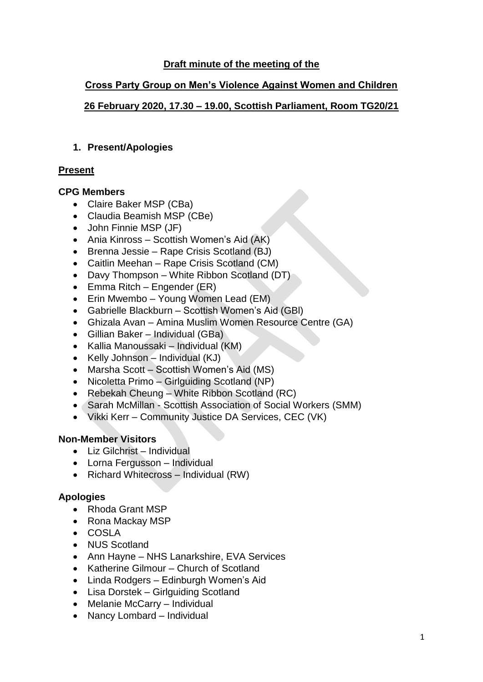# **Draft minute of the meeting of the**

## **Cross Party Group on Men's Violence Against Women and Children**

## **26 February 2020, 17.30 – 19.00, Scottish Parliament, Room TG20/21**

## **1. Present/Apologies**

## **Present**

## **CPG Members**

- Claire Baker MSP (CBa)
- Claudia Beamish MSP (CBe)
- John Finnie MSP (JF)
- Ania Kinross Scottish Women's Aid (AK)
- Brenna Jessie Rape Crisis Scotland (BJ)
- Caitlin Meehan Rape Crisis Scotland (CM)
- Davy Thompson White Ribbon Scotland (DT)
- Emma Ritch Engender (ER)
- Erin Mwembo Young Women Lead (EM)
- Gabrielle Blackburn Scottish Women's Aid (GBl)
- Ghizala Avan Amina Muslim Women Resource Centre (GA)
- Gillian Baker Individual (GBa)
- Kallia Manoussaki Individual (KM)
- Kelly Johnson Individual (KJ)
- Marsha Scott Scottish Women's Aid (MS)
- Nicoletta Primo Girlguiding Scotland (NP)
- Rebekah Cheung White Ribbon Scotland (RC)
- Sarah McMillan Scottish Association of Social Workers (SMM)
- Vikki Kerr Community Justice DA Services, CEC (VK)

## **Non-Member Visitors**

- Liz Gilchrist Individual
- Lorna Fergusson Individual
- Richard Whitecross Individual (RW)

## **Apologies**

- Rhoda Grant MSP
- Rona Mackay MSP
- COSLA
- NUS Scotland
- Ann Havne NHS Lanarkshire, EVA Services
- Katherine Gilmour Church of Scotland
- Linda Rodgers Edinburgh Women's Aid
- Lisa Dorstek Girlguiding Scotland
- Melanie McCarry Individual
- Nancy Lombard Individual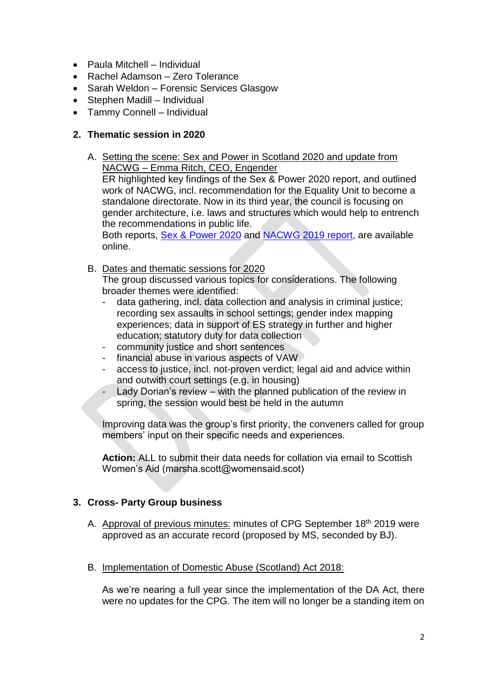- Paula Mitchell Individual
- Rachel Adamson Zero Tolerance
- Sarah Weldon Forensic Services Glasgow
- Stephen Madill Individual
- Tammy Connell Individual

#### **2. Thematic session in 2020**

- A. Setting the scene: Sex and Power in Scotland 2020 and update from NACWG – Emma Ritch, CEO, Engender ER highlighted key findings of the Sex & Power 2020 report, and outlined work of NACWG, incl. recommendation for the Equality Unit to become a standalone directorate. Now in its third year, the council is focusing on gender architecture, i.e. laws and structures which would help to entrench the recommendations in public life. Both reports, Sex & [Power 2020](https://www.engender.org.uk/content/publications/Engenders-Sex-and-Power-2020.pdf) and [NACWG 2019 report,](https://onescotland.org/nacwg-news/2019-report-and-recommendations/) are available online.
- B. Dates and thematic sessions for 2020

The group discussed various topics for considerations. The following broader themes were identified:

- data gathering, incl. data collection and analysis in criminal justice; recording sex assaults in school settings; gender index mapping experiences; data in support of ES strategy in further and higher education; statutory duty for data collection
- community justice and short sentences
- financial abuse in various aspects of VAW
- access to justice, incl. not-proven verdict; legal aid and advice within and outwith court settings (e.g. in housing)
- Lady Dorian's review with the planned publication of the review in spring, the session would best be held in the autumn

Improving data was the group's first priority, the conveners called for group members' input on their specific needs and experiences.

**Action:** ALL to submit their data needs for collation via email to Scottish Women's Aid (marsha.scott@womensaid.scot)

## **3. Cross- Party Group business**

- A. Approval of previous minutes: minutes of CPG September 18<sup>th</sup> 2019 were approved as an accurate record (proposed by MS, seconded by BJ).
- B. Implementation of Domestic Abuse (Scotland) Act 2018:

As we're nearing a full year since the implementation of the DA Act, there were no updates for the CPG. The item will no longer be a standing item on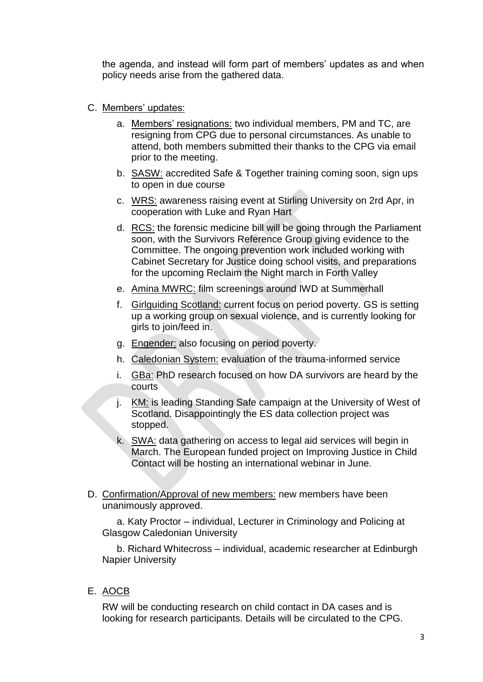the agenda, and instead will form part of members' updates as and when policy needs arise from the gathered data.

- C. Members' updates:
	- a. Members' resignations: two individual members, PM and TC, are resigning from CPG due to personal circumstances. As unable to attend, both members submitted their thanks to the CPG via email prior to the meeting.
	- b. SASW: accredited Safe & Together training coming soon, sign ups to open in due course
	- c. WRS: awareness raising event at Stirling University on 2rd Apr, in cooperation with Luke and Ryan Hart
	- d. RCS: the forensic medicine bill will be going through the Parliament soon, with the Survivors Reference Group giving evidence to the Committee. The ongoing prevention work included working with Cabinet Secretary for Justice doing school visits, and preparations for the upcoming Reclaim the Night march in Forth Valley
	- e. Amina MWRC: film screenings around IWD at Summerhall
	- f. Girlguiding Scotland: current focus on period poverty. GS is setting up a working group on sexual violence, and is currently looking for girls to join/feed in.
	- g. Engender: also focusing on period poverty.
	- h. Caledonian System: evaluation of the trauma-informed service
	- i. GBa: PhD research focused on how DA survivors are heard by the courts
	- j. KM: is leading Standing Safe campaign at the University of West of Scotland. Disappointingly the ES data collection project was stopped.
	- k. SWA: data gathering on access to legal aid services will begin in March. The European funded project on Improving Justice in Child Contact will be hosting an international webinar in June.
- D. Confirmation/Approval of new members: new members have been unanimously approved.

a. Katy Proctor – individual, Lecturer in Criminology and Policing at Glasgow Caledonian University

b. Richard Whitecross – individual, academic researcher at Edinburgh Napier University

E. AOCB

RW will be conducting research on child contact in DA cases and is looking for research participants. Details will be circulated to the CPG.